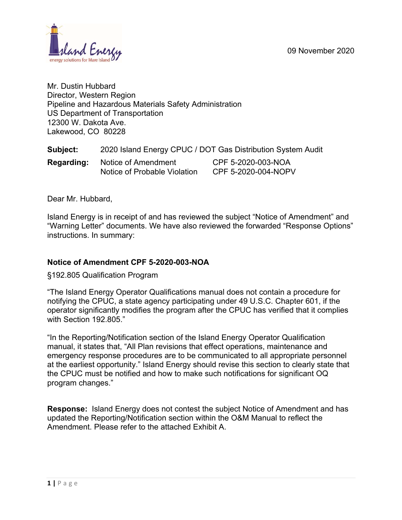

Mr. Dustin Hubbard Director, Western Region Pipeline and Hazardous Materials Safety Administration US Department of Transportation 12300 W. Dakota Ave. Lakewood, CO 80228

| Subject:   | 2020 Island Energy CPUC / DOT Gas Distribution System Audit |                                           |  |
|------------|-------------------------------------------------------------|-------------------------------------------|--|
| Regarding: | Notice of Amendment<br>Notice of Probable Violation         | CPF 5-2020-003-NOA<br>CPF 5-2020-004-NOPV |  |

Dear Mr. Hubbard,

Island Energy is in receipt of and has reviewed the subject "Notice of Amendment" and "Warning Letter" documents. We have also reviewed the forwarded "Response Options" instructions. In summary:

### **Notice of Amendment CPF 5-2020-003-NOA**

§192.805 Qualification Program

"The Island Energy Operator Qualifications manual does not contain a procedure for notifying the CPUC, a state agency participating under 49 U.S.C. Chapter 601, if the operator significantly modifies the program after the CPUC has verified that it complies with Section 192.805."

"In the Reporting/Notification section of the Island Energy Operator Qualification manual, it states that, "All Plan revisions that effect operations, maintenance and emergency response procedures are to be communicated to all appropriate personnel at the earliest opportunity." Island Energy should revise this section to clearly state that the CPUC must be notified and how to make such notifications for significant OQ program changes."

**Response:** Island Energy does not contest the subject Notice of Amendment and has updated the Reporting/Notification section within the O&M Manual to reflect the Amendment. Please refer to the attached Exhibit A.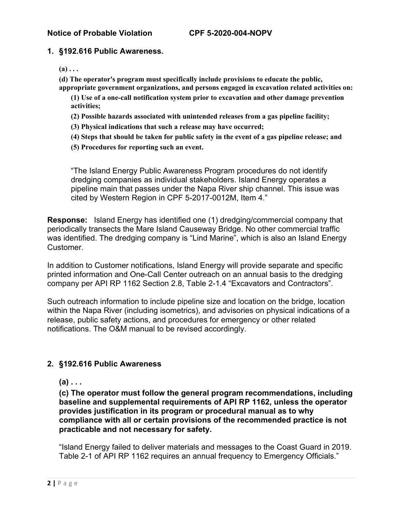### **Notice of Probable Violation CPF 5-2020-004-NOPV**

### **1. §192.616 Public Awareness.**

 $(a) \ldots$ 

- **(d) The operator's program must specifically include provisions to educate the public, appropriate government organizations, and persons engaged in excavation related activities on:** 
	- **(1) Use of a one-call notification system prior to excavation and other damage prevention activities;**
	- **(2) Possible hazards associated with unintended releases from a gas pipeline facility;**
	- **(3) Physical indications that such a release may have occurred;**
	- **(4) Steps that should be taken for public safety in the event of a gas pipeline release; and**
	- **(5) Procedures for reporting such an event.**

"The Island Energy Public Awareness Program procedures do not identify dredging companies as individual stakeholders. Island Energy operates a pipeline main that passes under the Napa River ship channel. This issue was cited by Western Region in CPF 5-2017-0012M, Item 4."

**Response:** Island Energy has identified one (1) dredging/commercial company that periodically transects the Mare Island Causeway Bridge. No other commercial traffic was identified. The dredging company is "Lind Marine", which is also an Island Energy Customer.

In addition to Customer notifications, Island Energy will provide separate and specific printed information and One-Call Center outreach on an annual basis to the dredging company per API RP 1162 Section 2.8, Table 2-1.4 "Excavators and Contractors".

Such outreach information to include pipeline size and location on the bridge, location within the Napa River (including isometrics), and advisories on physical indications of a release, public safety actions, and procedures for emergency or other related notifications. The O&M manual to be revised accordingly.

### **2. §192.616 Public Awareness**

**(a) . . .** 

**(c) The operator must follow the general program recommendations, including baseline and supplemental requirements of API RP 1162, unless the operator provides justification in its program or procedural manual as to why compliance with all or certain provisions of the recommended practice is not practicable and not necessary for safety.** 

"Island Energy failed to deliver materials and messages to the Coast Guard in 2019. Table 2-1 of API RP 1162 requires an annual frequency to Emergency Officials."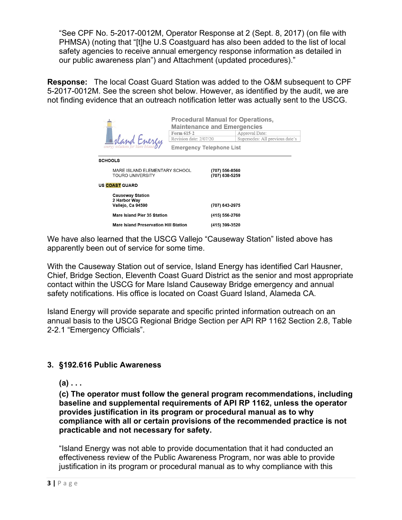"See CPF No. 5-2017-0012M, Operator Response at 2 (Sept. 8, 2017) (on file with PHMSA) (noting that "[t]he U.S Coastguard has also been added to the list of local safety agencies to receive annual emergency response information as detailed in our public awareness plan") and Attachment (updated procedures)."

**Response:** The local Coast Guard Station was added to the O&M subsequent to CPF 5-2017-0012M. See the screen shot below. However, as identified by the audit, we are not finding evidence that an outreach notification letter was actually sent to the USCG.

|                                                              | <b>Procedural Manual for Operations,</b><br><b>Maintenance and Emergencies</b> |                |                                 |  |
|--------------------------------------------------------------|--------------------------------------------------------------------------------|----------------|---------------------------------|--|
|                                                              | Form 615-2                                                                     |                | Approval Date:                  |  |
|                                                              | Revision date: 2/07/20                                                         |                | Supersedes: All previous date's |  |
| energy solutions for                                         | <b>Emergency Telephone List</b>                                                |                |                                 |  |
| <b>SCHOOLS</b>                                               |                                                                                |                |                                 |  |
| MARE ISLAND ELEMENTARY SCHOOL                                |                                                                                | (707) 556-8560 |                                 |  |
| <b>TOURO UNIVERSITY</b>                                      |                                                                                |                | (707) 638-5259                  |  |
| <b>US COAST GUARD</b>                                        |                                                                                |                |                                 |  |
| <b>Causeway Station</b><br>2 Harbor Way<br>Vallejo, Ca 94590 |                                                                                | (707) 643-2975 |                                 |  |
| Mare Island Pier 35 Station                                  |                                                                                |                | (415) 556-2760                  |  |
| <b>Mare Island Preservation Hill Station</b>                 |                                                                                | (415) 399-3520 |                                 |  |

We have also learned that the USCG Vallejo "Causeway Station" listed above has apparently been out of service for some time.

With the Causeway Station out of service, Island Energy has identified Carl Hausner, Chief, Bridge Section, Eleventh Coast Guard District as the senior and most appropriate contact within the USCG for Mare Island Causeway Bridge emergency and annual safety notifications. His office is located on Coast Guard Island, Alameda CA.

Island Energy will provide separate and specific printed information outreach on an annual basis to the USCG Regional Bridge Section per API RP 1162 Section 2.8, Table 2-2.1 "Emergency Officials".

### **3. §192.616 Public Awareness**

**(a) . . .** 

**(c) The operator must follow the general program recommendations, including baseline and supplemental requirements of API RP 1162, unless the operator provides justification in its program or procedural manual as to why compliance with all or certain provisions of the recommended practice is not practicable and not necessary for safety.** 

"Island Energy was not able to provide documentation that it had conducted an effectiveness review of the Public Awareness Program, nor was able to provide justification in its program or procedural manual as to why compliance with this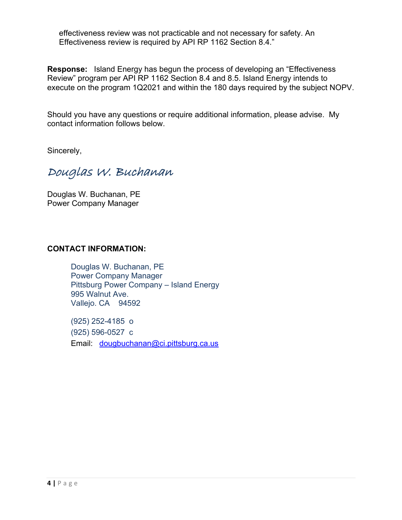effectiveness review was not practicable and not necessary for safety. An Effectiveness review is required by API RP 1162 Section 8.4."

**Response:** Island Energy has begun the process of developing an "Effectiveness Review" program per API RP 1162 Section 8.4 and 8.5. Island Energy intends to execute on the program 1Q2021 and within the 180 days required by the subject NOPV.

Should you have any questions or require additional information, please advise. My contact information follows below.

Sincerely,

Douglas W. Buchanan

Douglas W. Buchanan, PE Power Company Manager

### **CONTACT INFORMATION:**

Douglas W. Buchanan, PE Power Company Manager Pittsburg Power Company – Island Energy 995 Walnut Ave. Vallejo. CA 94592

(925) 252-4185 o (925) 596-0527 c Email: [dougbuchanan@ci.pittsburg.ca.us](mailto:dougbuchanan@ci.pittsburg.ca.us)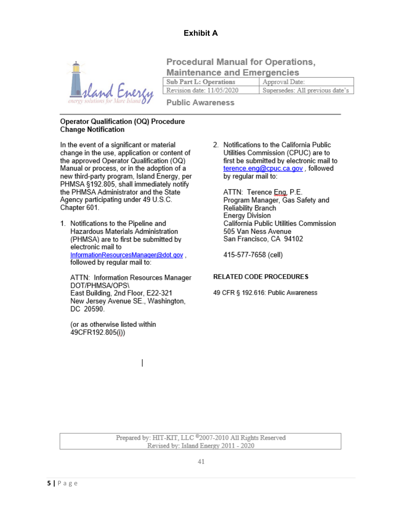# **Exhibit A**



**Procedural Manual for Operations. Maintenance and Emergencies** 

**Sub Part L: Operations** Approval Date:

Revision date: 11/05/2020 Supersedes: All previous date's

**Public Awareness** 

### **Operator Qualification (OQ) Procedure Change Notification**

In the event of a significant or material change in the use, application or content of the approved Operator Qualification (OQ) Manual or process, or in the adoption of a new third-party program, Island Energy, per PHMSA §192.805, shall immediately notify the PHMSA Administrator and the State Agency participating under 49 U.S.C. Chapter 601.

1. Notifications to the Pipeline and Hazardous Materials Administration (PHMSA) are to first be submitted by electronic mail to InformationResourcesManager@dot.gov. followed by regular mail to:

ATTN: Information Resources Manager DOT/PHMSA/OPS\ East Building, 2nd Floor, E22-321 New Jersey Avenue SE., Washington, DC 20590

(or as otherwise listed within 49CFR192.805(i))

2. Notifications to the California Public Utilities Commission (CPUC) are to first be submitted by electronic mail to terence.eng@cpuc.ca.gov.followed by regular mail to:

ATTN: Terence Eng, P.E. Program Manager, Gas Safety and Reliability Branch Energy Division California Public Utilities Commission 505 Van Ness Avenue San Francisco, CA 94102

415-577-7658 (cell)

### **RELATED CODE PROCEDURES**

49 CFR § 192.616: Public Awareness

Prepared by: HIT-KIT, LLC <sup>8</sup>2007-2010 All Rights Reserved Revised by: Island Energy 2011 - 2020